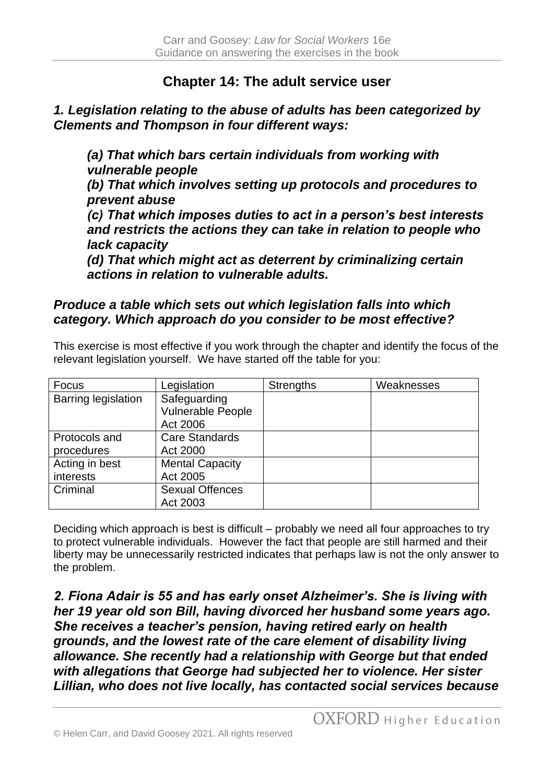## **Chapter 14: The adult service user**

## *1. Legislation relating to the abuse of adults has been categorized by Clements and Thompson in four different ways:*

*(a) That which bars certain individuals from working with vulnerable people (b) That which involves setting up protocols and procedures to prevent abuse (c) That which imposes duties to act in a person's best interests and restricts the actions they can take in relation to people who lack capacity (d) That which might act as deterrent by criminalizing certain actions in relation to vulnerable adults.*

## *Produce a table which sets out which legislation falls into which category. Which approach do you consider to be most effective?*

This exercise is most effective if you work through the chapter and identify the focus of the relevant legislation yourself. We have started off the table for you:

| Focus                      | Legislation            | <b>Strengths</b> | Weaknesses |
|----------------------------|------------------------|------------------|------------|
| <b>Barring legislation</b> | Safeguarding           |                  |            |
|                            | Vulnerable People      |                  |            |
|                            | Act 2006               |                  |            |
| Protocols and              | <b>Care Standards</b>  |                  |            |
| procedures                 | Act 2000               |                  |            |
| Acting in best             | <b>Mental Capacity</b> |                  |            |
| interests                  | Act 2005               |                  |            |
| Criminal                   | <b>Sexual Offences</b> |                  |            |
|                            | Act 2003               |                  |            |

Deciding which approach is best is difficult – probably we need all four approaches to try to protect vulnerable individuals. However the fact that people are still harmed and their liberty may be unnecessarily restricted indicates that perhaps law is not the only answer to the problem.

*2. Fiona Adair is 55 and has early onset Alzheimer's. She is living with her 19 year old son Bill, having divorced her husband some years ago. She receives a teacher's pension, having retired early on health grounds, and the lowest rate of the care element of disability living allowance. She recently had a relationship with George but that ended with allegations that George had subjected her to violence. Her sister Lillian, who does not live locally, has contacted social services because*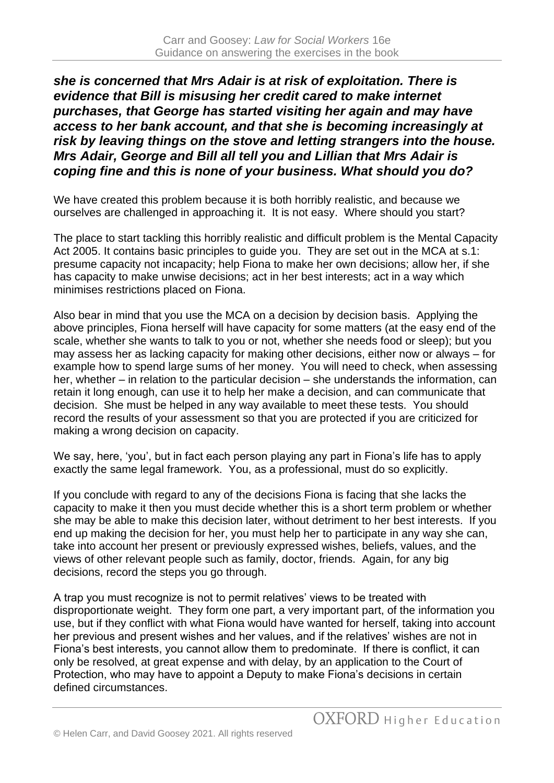*she is concerned that Mrs Adair is at risk of exploitation. There is evidence that Bill is misusing her credit cared to make internet purchases, that George has started visiting her again and may have access to her bank account, and that she is becoming increasingly at risk by leaving things on the stove and letting strangers into the house. Mrs Adair, George and Bill all tell you and Lillian that Mrs Adair is coping fine and this is none of your business. What should you do?*

We have created this problem because it is both horribly realistic, and because we ourselves are challenged in approaching it. It is not easy. Where should you start?

The place to start tackling this horribly realistic and difficult problem is the Mental Capacity Act 2005. It contains basic principles to guide you. They are set out in the MCA at s.1: presume capacity not incapacity; help Fiona to make her own decisions; allow her, if she has capacity to make unwise decisions; act in her best interests; act in a way which minimises restrictions placed on Fiona.

Also bear in mind that you use the MCA on a decision by decision basis. Applying the above principles, Fiona herself will have capacity for some matters (at the easy end of the scale, whether she wants to talk to you or not, whether she needs food or sleep); but you may assess her as lacking capacity for making other decisions, either now or always – for example how to spend large sums of her money. You will need to check, when assessing her, whether – in relation to the particular decision – she understands the information, can retain it long enough, can use it to help her make a decision, and can communicate that decision. She must be helped in any way available to meet these tests. You should record the results of your assessment so that you are protected if you are criticized for making a wrong decision on capacity.

We say, here, 'you', but in fact each person playing any part in Fiona's life has to apply exactly the same legal framework. You, as a professional, must do so explicitly.

If you conclude with regard to any of the decisions Fiona is facing that she lacks the capacity to make it then you must decide whether this is a short term problem or whether she may be able to make this decision later, without detriment to her best interests. If you end up making the decision for her, you must help her to participate in any way she can, take into account her present or previously expressed wishes, beliefs, values, and the views of other relevant people such as family, doctor, friends. Again, for any big decisions, record the steps you go through.

A trap you must recognize is not to permit relatives' views to be treated with disproportionate weight. They form one part, a very important part, of the information you use, but if they conflict with what Fiona would have wanted for herself, taking into account her previous and present wishes and her values, and if the relatives' wishes are not in Fiona's best interests, you cannot allow them to predominate. If there is conflict, it can only be resolved, at great expense and with delay, by an application to the Court of Protection, who may have to appoint a Deputy to make Fiona's decisions in certain defined circumstances.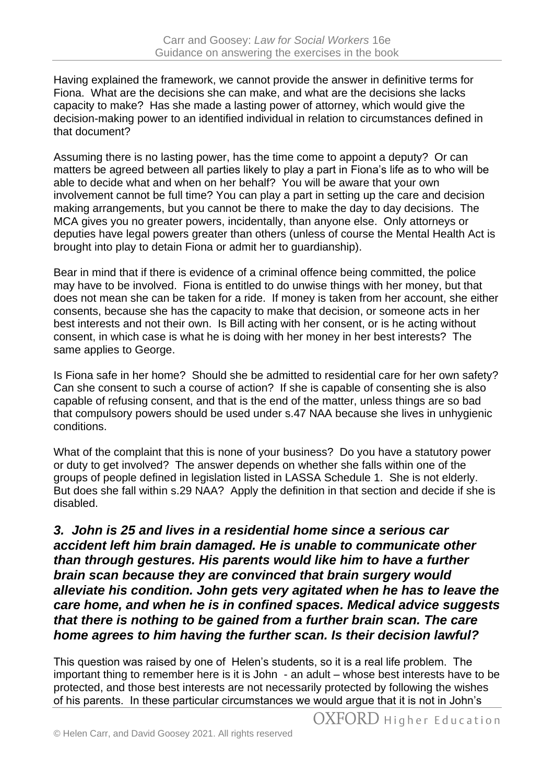Having explained the framework, we cannot provide the answer in definitive terms for Fiona. What are the decisions she can make, and what are the decisions she lacks capacity to make? Has she made a lasting power of attorney, which would give the decision-making power to an identified individual in relation to circumstances defined in that document?

Assuming there is no lasting power, has the time come to appoint a deputy? Or can matters be agreed between all parties likely to play a part in Fiona's life as to who will be able to decide what and when on her behalf? You will be aware that your own involvement cannot be full time? You can play a part in setting up the care and decision making arrangements, but you cannot be there to make the day to day decisions. The MCA gives you no greater powers, incidentally, than anyone else. Only attorneys or deputies have legal powers greater than others (unless of course the Mental Health Act is brought into play to detain Fiona or admit her to guardianship).

Bear in mind that if there is evidence of a criminal offence being committed, the police may have to be involved. Fiona is entitled to do unwise things with her money, but that does not mean she can be taken for a ride. If money is taken from her account, she either consents, because she has the capacity to make that decision, or someone acts in her best interests and not their own. Is Bill acting with her consent, or is he acting without consent, in which case is what he is doing with her money in her best interests? The same applies to George.

Is Fiona safe in her home? Should she be admitted to residential care for her own safety? Can she consent to such a course of action? If she is capable of consenting she is also capable of refusing consent, and that is the end of the matter, unless things are so bad that compulsory powers should be used under s.47 NAA because she lives in unhygienic conditions.

What of the complaint that this is none of your business? Do you have a statutory power or duty to get involved? The answer depends on whether she falls within one of the groups of people defined in legislation listed in LASSA Schedule 1. She is not elderly. But does she fall within s.29 NAA? Apply the definition in that section and decide if she is disabled.

*3. John is 25 and lives in a residential home since a serious car accident left him brain damaged. He is unable to communicate other than through gestures. His parents would like him to have a further brain scan because they are convinced that brain surgery would alleviate his condition. John gets very agitated when he has to leave the care home, and when he is in confined spaces. Medical advice suggests that there is nothing to be gained from a further brain scan. The care home agrees to him having the further scan. Is their decision lawful?*

This question was raised by one of Helen's students, so it is a real life problem. The important thing to remember here is it is John - an adult – whose best interests have to be protected, and those best interests are not necessarily protected by following the wishes of his parents. In these particular circumstances we would argue that it is not in John's